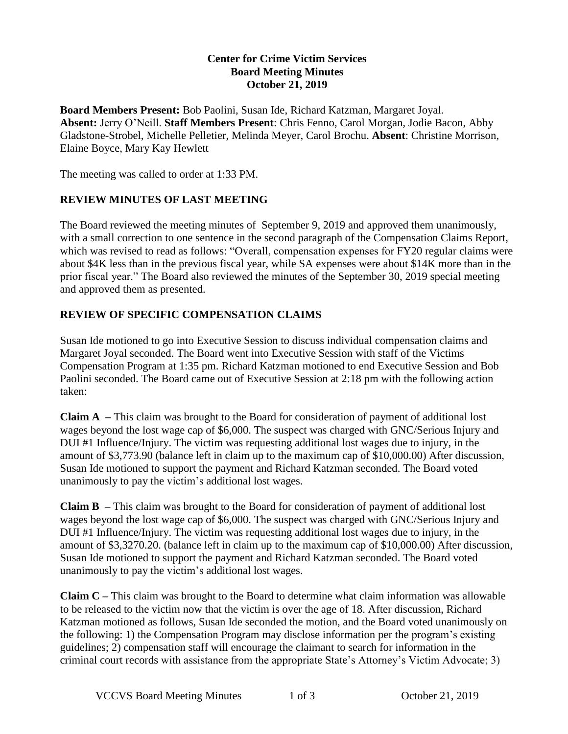#### **Center for Crime Victim Services Board Meeting Minutes October 21, 2019**

**Board Members Present:** Bob Paolini, Susan Ide, Richard Katzman, Margaret Joyal. **Absent:** Jerry O'Neill. **Staff Members Present**: Chris Fenno, Carol Morgan, Jodie Bacon, Abby Gladstone-Strobel, Michelle Pelletier, Melinda Meyer, Carol Brochu. **Absent**: Christine Morrison, Elaine Boyce, Mary Kay Hewlett

The meeting was called to order at 1:33 PM.

#### **REVIEW MINUTES OF LAST MEETING**

The Board reviewed the meeting minutes of September 9, 2019 and approved them unanimously, with a small correction to one sentence in the second paragraph of the Compensation Claims Report, which was revised to read as follows: "Overall, compensation expenses for FY20 regular claims were about \$4K less than in the previous fiscal year, while SA expenses were about \$14K more than in the prior fiscal year." The Board also reviewed the minutes of the September 30, 2019 special meeting and approved them as presented.

## **REVIEW OF SPECIFIC COMPENSATION CLAIMS**

Susan Ide motioned to go into Executive Session to discuss individual compensation claims and Margaret Joyal seconded. The Board went into Executive Session with staff of the Victims Compensation Program at 1:35 pm. Richard Katzman motioned to end Executive Session and Bob Paolini seconded. The Board came out of Executive Session at 2:18 pm with the following action taken:

**Claim A –** This claim was brought to the Board for consideration of payment of additional lost wages beyond the lost wage cap of \$6,000. The suspect was charged with GNC/Serious Injury and DUI #1 Influence/Injury. The victim was requesting additional lost wages due to injury, in the amount of \$3,773.90 (balance left in claim up to the maximum cap of \$10,000.00) After discussion, Susan Ide motioned to support the payment and Richard Katzman seconded. The Board voted unanimously to pay the victim's additional lost wages.

**Claim B –** This claim was brought to the Board for consideration of payment of additional lost wages beyond the lost wage cap of \$6,000. The suspect was charged with GNC/Serious Injury and DUI #1 Influence/Injury. The victim was requesting additional lost wages due to injury, in the amount of \$3,3270.20. (balance left in claim up to the maximum cap of \$10,000.00) After discussion, Susan Ide motioned to support the payment and Richard Katzman seconded. The Board voted unanimously to pay the victim's additional lost wages.

**Claim C –** This claim was brought to the Board to determine what claim information was allowable to be released to the victim now that the victim is over the age of 18. After discussion, Richard Katzman motioned as follows, Susan Ide seconded the motion, and the Board voted unanimously on the following: 1) the Compensation Program may disclose information per the program's existing guidelines; 2) compensation staff will encourage the claimant to search for information in the criminal court records with assistance from the appropriate State's Attorney's Victim Advocate; 3)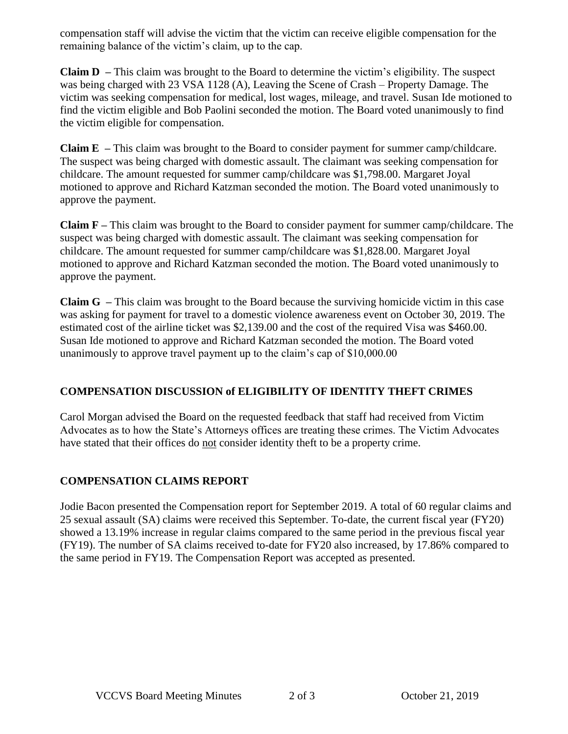compensation staff will advise the victim that the victim can receive eligible compensation for the remaining balance of the victim's claim, up to the cap.

**Claim D –** This claim was brought to the Board to determine the victim's eligibility. The suspect was being charged with 23 VSA 1128 (A), Leaving the Scene of Crash – Property Damage. The victim was seeking compensation for medical, lost wages, mileage, and travel. Susan Ide motioned to find the victim eligible and Bob Paolini seconded the motion. The Board voted unanimously to find the victim eligible for compensation.

**Claim E –** This claim was brought to the Board to consider payment for summer camp/childcare. The suspect was being charged with domestic assault. The claimant was seeking compensation for childcare. The amount requested for summer camp/childcare was \$1,798.00. Margaret Joyal motioned to approve and Richard Katzman seconded the motion. The Board voted unanimously to approve the payment.

**Claim F –** This claim was brought to the Board to consider payment for summer camp/childcare. The suspect was being charged with domestic assault. The claimant was seeking compensation for childcare. The amount requested for summer camp/childcare was \$1,828.00. Margaret Joyal motioned to approve and Richard Katzman seconded the motion. The Board voted unanimously to approve the payment.

**Claim G –** This claim was brought to the Board because the surviving homicide victim in this case was asking for payment for travel to a domestic violence awareness event on October 30, 2019. The estimated cost of the airline ticket was \$2,139.00 and the cost of the required Visa was \$460.00. Susan Ide motioned to approve and Richard Katzman seconded the motion. The Board voted unanimously to approve travel payment up to the claim's cap of \$10,000.00

## **COMPENSATION DISCUSSION of ELIGIBILITY OF IDENTITY THEFT CRIMES**

Carol Morgan advised the Board on the requested feedback that staff had received from Victim Advocates as to how the State's Attorneys offices are treating these crimes. The Victim Advocates have stated that their offices do not consider identity theft to be a property crime.

## **COMPENSATION CLAIMS REPORT**

Jodie Bacon presented the Compensation report for September 2019. A total of 60 regular claims and 25 sexual assault (SA) claims were received this September. To-date, the current fiscal year (FY20) showed a 13.19% increase in regular claims compared to the same period in the previous fiscal year (FY19). The number of SA claims received to-date for FY20 also increased, by 17.86% compared to the same period in FY19. The Compensation Report was accepted as presented.